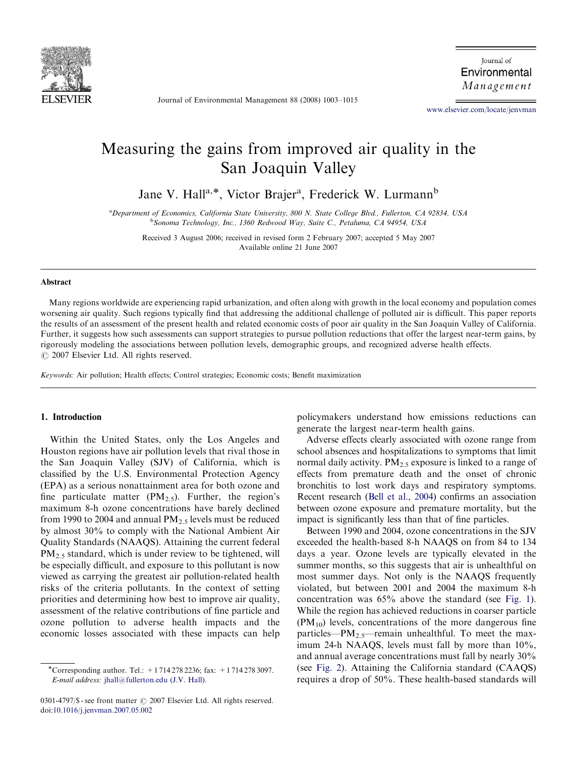

Journal of Environmental Management 88 (2008) 1003–1015

**Journal** of Environmental Management

<www.elsevier.com/locate/jenvman>

# Measuring the gains from improved air quality in the San Joaquin Valley

Jane V. Hall<sup>a,\*</sup>, Victor Brajer<sup>a</sup>, Frederick W. Lurmann<sup>b</sup>

<sup>a</sup> Department of Economics, California State University, 800 N. State College Blvd., Fullerton, CA 92834, USA <sup>b</sup>Sonoma Technology, Inc., 1360 Redwood Way, Suite C., Petaluma, CA 94954, USA

Received 3 August 2006; received in revised form 2 February 2007; accepted 5 May 2007 Available online 21 June 2007

#### Abstract

Many regions worldwide are experiencing rapid urbanization, and often along with growth in the local economy and population comes worsening air quality. Such regions typically find that addressing the additional challenge of polluted air is difficult. This paper reports the results of an assessment of the present health and related economic costs of poor air quality in the San Joaquin Valley of California. Further, it suggests how such assessments can support strategies to pursue pollution reductions that offer the largest near-term gains, by rigorously modeling the associations between pollution levels, demographic groups, and recognized adverse health effects.  $C$  2007 Elsevier Ltd. All rights reserved.

Keywords: Air pollution; Health effects; Control strategies; Economic costs; Benefit maximization

# 1. Introduction

Within the United States, only the Los Angeles and Houston regions have air pollution levels that rival those in the San Joaquin Valley (SJV) of California, which is classified by the U.S. Environmental Protection Agency (EPA) as a serious nonattainment area for both ozone and fine particulate matter  $(PM_2, \varsigma)$ . Further, the region's maximum 8-h ozone concentrations have barely declined from 1990 to 2004 and annual  $PM_{2.5}$  levels must be reduced by almost 30% to comply with the National Ambient Air Quality Standards (NAAQS). Attaining the current federal PM<sub>2.5</sub> standard, which is under review to be tightened, will be especially difficult, and exposure to this pollutant is now viewed as carrying the greatest air pollution-related health risks of the criteria pollutants. In the context of setting priorities and determining how best to improve air quality, assessment of the relative contributions of fine particle and ozone pollution to adverse health impacts and the economic losses associated with these impacts can help policymakers understand how emissions reductions can generate the largest near-term health gains.

Adverse effects clearly associated with ozone range from school absences and hospitalizations to symptoms that limit normal daily activity.  $PM_2$ , exposure is linked to a range of effects from premature death and the onset of chronic bronchitis to lost work days and respiratory symptoms. Recent research [\(Bell et al., 2004](#page-10-0)) confirms an association between ozone exposure and premature mortality, but the impact is significantly less than that of fine particles.

Between 1990 and 2004, ozone concentrations in the SJV exceeded the health-based 8-h NAAQS on from 84 to 134 days a year. Ozone levels are typically elevated in the summer months, so this suggests that air is unhealthful on most summer days. Not only is the NAAQS frequently violated, but between 2001 and 2004 the maximum 8-h concentration was 65% above the standard (see [Fig. 1\)](#page-1-0). While the region has achieved reductions in coarser particle  $(PM_{10})$  levels, concentrations of the more dangerous fine particles—PM<sub>2.5</sub>—remain unhealthful. To meet the maximum 24-h NAAQS, levels must fall by more than 10%, and annual average concentrations must fall by nearly 30% (see [Fig. 2\)](#page-1-0). Attaining the California standard (CAAQS) requires a drop of 50%. These health-based standards will

<sup>\*</sup>Corresponding author. Tel.: +17142782236; fax: +17142783097. E-mail address: [jhall@fullerton.edu \(J.V. Hall\).](mailto:jhall@fullerton.edu)

<sup>0301-4797/\$ -</sup> see front matter  $\odot$  2007 Elsevier Ltd. All rights reserved. doi:[10.1016/j.jenvman.2007.05.002](dx.doi.org/10.1016/j.jenvman.2007.05.002)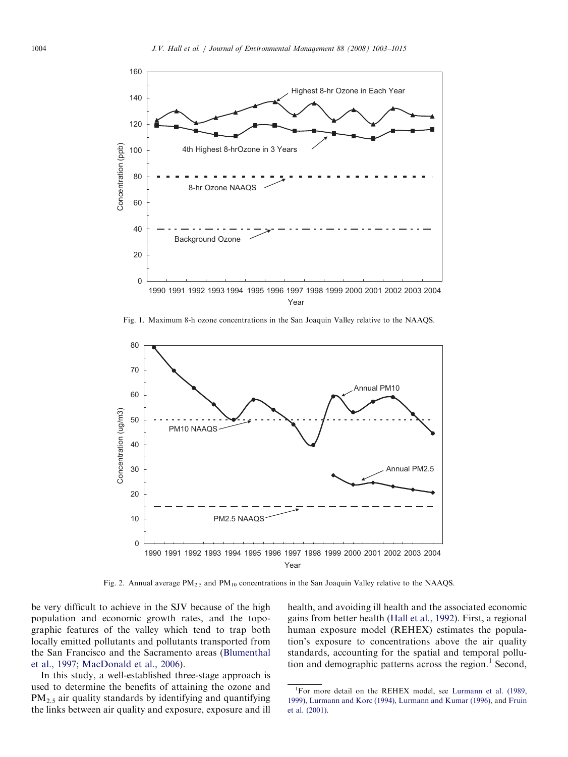<span id="page-1-0"></span>

Fig. 1. Maximum 8-h ozone concentrations in the San Joaquin Valley relative to the NAAQS.



Fig. 2. Annual average  $PM_{2.5}$  and  $PM_{10}$  concentrations in the San Joaquin Valley relative to the NAAQS.

be very difficult to achieve in the SJV because of the high population and economic growth rates, and the topographic features of the valley which tend to trap both locally emitted pollutants and pollutants transported from the San Francisco and the Sacramento areas [\(Blumenthal](#page-10-0) [et al., 1997](#page-10-0); [MacDonald et al., 2006\)](#page-11-0).

In this study, a well-established three-stage approach is used to determine the benefits of attaining the ozone and PM2.5 air quality standards by identifying and quantifying the links between air quality and exposure, exposure and ill health, and avoiding ill health and the associated economic gains from better health [\(Hall et al., 1992](#page-11-0)). First, a regional human exposure model (REHEX) estimates the population's exposure to concentrations above the air quality standards, accounting for the spatial and temporal pollution and demographic patterns across the region.<sup>1</sup> Second,

<sup>&</sup>lt;sup>1</sup>For more detail on the REHEX model, see [Lurmann et al. \(1989,](#page-11-0) [1999\)](#page-11-0), [Lurmann and Korc \(1994\),](#page-11-0) [Lurmann and Kumar \(1996\),](#page-11-0) and [Fruin](#page-11-0) [et al. \(2001\).](#page-11-0)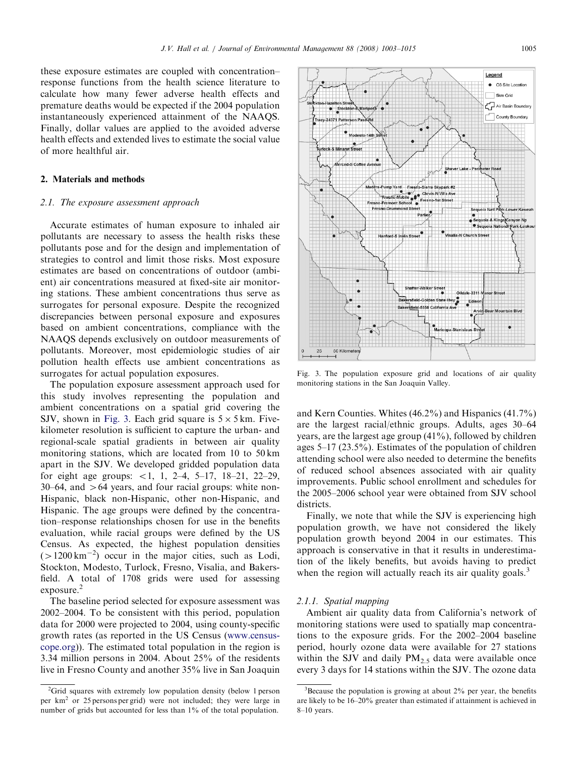these exposure estimates are coupled with concentration– response functions from the health science literature to calculate how many fewer adverse health effects and premature deaths would be expected if the 2004 population instantaneously experienced attainment of the NAAQS. Finally, dollar values are applied to the avoided adverse health effects and extended lives to estimate the social value of more healthful air.

# 2. Materials and methods

#### 2.1. The exposure assessment approach

Accurate estimates of human exposure to inhaled air pollutants are necessary to assess the health risks these pollutants pose and for the design and implementation of strategies to control and limit those risks. Most exposure estimates are based on concentrations of outdoor (ambient) air concentrations measured at fixed-site air monitoring stations. These ambient concentrations thus serve as surrogates for personal exposure. Despite the recognized discrepancies between personal exposure and exposures based on ambient concentrations, compliance with the NAAQS depends exclusively on outdoor measurements of pollutants. Moreover, most epidemiologic studies of air pollution health effects use ambient concentrations as surrogates for actual population exposures.

The population exposure assessment approach used for this study involves representing the population and ambient concentrations on a spatial grid covering the SJV, shown in Fig. 3. Each grid square is  $5 \times 5$  km. Fivekilometer resolution is sufficient to capture the urban- and regional-scale spatial gradients in between air quality monitoring stations, which are located from 10 to 50 km apart in the SJV. We developed gridded population data for eight age groups:  $\langle 1, 1, 2-4, 5-17, 18-21, 22-29,$  $30-64$ , and  $>64$  years, and four racial groups: white non-Hispanic, black non-Hispanic, other non-Hispanic, and Hispanic. The age groups were defined by the concentration–response relationships chosen for use in the benefits evaluation, while racial groups were defined by the US Census. As expected, the highest population densities  $(>1200 \text{ km}^{-2})$  occur in the major cities, such as Lodi, Stockton, Modesto, Turlock, Fresno, Visalia, and Bakersfield. A total of 1708 grids were used for assessing exposure.<sup>2</sup>

The baseline period selected for exposure assessment was 2002–2004. To be consistent with this period, population data for 2000 were projected to 2004, using county-specific growth rates (as reported in the US Census ([www.census](http://www.censuscope.org)[cope.org](http://www.censuscope.org))). The estimated total population in the region is 3.34 million persons in 2004. About 25% of the residents live in Fresno County and another 35% live in San Joaquin

and Kern Counties. Whites (46.2%) and Hispanics (41.7%)

monitoring stations in the San Joaquin Valley.

are the largest racial/ethnic groups. Adults, ages 30–64 years, are the largest age group (41%), followed by children ages 5–17 (23.5%). Estimates of the population of children attending school were also needed to determine the benefits of reduced school absences associated with air quality improvements. Public school enrollment and schedules for the 2005–2006 school year were obtained from SJV school districts.

Finally, we note that while the SJV is experiencing high population growth, we have not considered the likely population growth beyond 2004 in our estimates. This approach is conservative in that it results in underestimation of the likely benefits, but avoids having to predict when the region will actually reach its air quality goals.<sup>3</sup>

# 2.1.1. Spatial mapping

Ambient air quality data from California's network of monitoring stations were used to spatially map concentrations to the exposure grids. For the 2002–2004 baseline period, hourly ozone data were available for 27 stations within the SJV and daily  $PM_{2.5}$  data were available once every 3 days for 14 stations within the SJV. The ozone data



<sup>&</sup>lt;sup>2</sup>Grid squares with extremely low population density (below 1 person per  $km<sup>2</sup>$  or 25 persons per grid) were not included; they were large in number of grids but accounted for less than  $1\%$  of the total population.

 $3$ Because the population is growing at about  $2\%$  per year, the benefits are likely to be 16–20% greater than estimated if attainment is achieved in 8–10 years.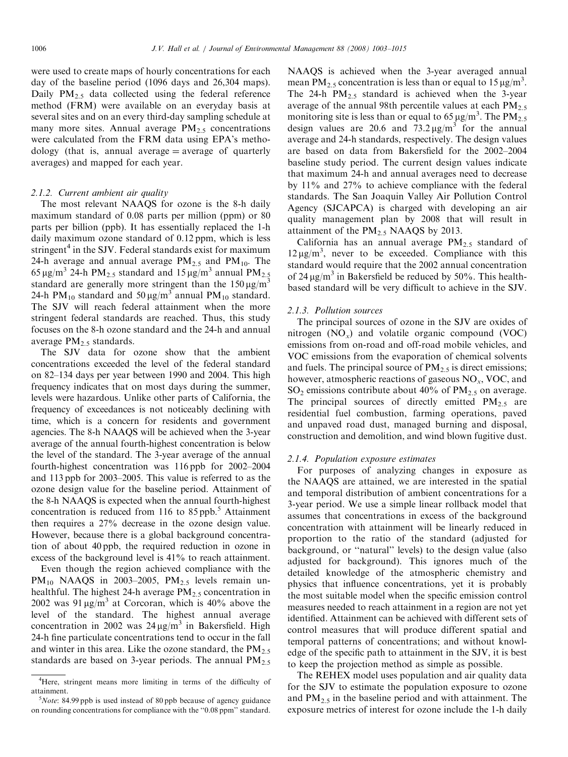were used to create maps of hourly concentrations for each day of the baseline period (1096 days and 26,304 maps). Daily  $PM_{2.5}$  data collected using the federal reference method (FRM) were available on an everyday basis at several sites and on an every third-day sampling schedule at many more sites. Annual average  $PM_{2.5}$  concentrations were calculated from the FRM data using EPA's methodology (that is, annual average  $=$  average of quarterly averages) and mapped for each year.

# 2.1.2. Current ambient air quality

The most relevant NAAQS for ozone is the 8-h daily maximum standard of 0.08 parts per million (ppm) or 80 parts per billion (ppb). It has essentially replaced the 1-h daily maximum ozone standard of 0.12 ppm, which is less stringent<sup>4</sup> in the SJV. Federal standards exist for maximum 24-h average and annual average  $PM_{2.5}$  and  $PM_{10}$ . The 65 µg/m<sup>3</sup> 24-h PM<sub>2.5</sub> standard and 15 µg/m<sup>3</sup> annual PM<sub>2.5</sub> standard are generally more stringent than the  $150 \mu g/m<sup>3</sup>$ 24-h PM<sub>10</sub> standard and 50  $\mu$ g/m<sup>3</sup> annual PM<sub>10</sub> standard. The SJV will reach federal attainment when the more stringent federal standards are reached. Thus, this study focuses on the 8-h ozone standard and the 24-h and annual average  $PM_{2.5}$  standards.

The SJV data for ozone show that the ambient concentrations exceeded the level of the federal standard on 82–134 days per year between 1990 and 2004. This high frequency indicates that on most days during the summer, levels were hazardous. Unlike other parts of California, the frequency of exceedances is not noticeably declining with time, which is a concern for residents and government agencies. The 8-h NAAQS will be achieved when the 3-year average of the annual fourth-highest concentration is below the level of the standard. The 3-year average of the annual fourth-highest concentration was 116 ppb for 2002–2004 and 113 ppb for 2003–2005. This value is referred to as the ozone design value for the baseline period. Attainment of the 8-h NAAQS is expected when the annual fourth-highest concentration is reduced from 116 to  $85$  ppb.<sup>5</sup> Attainment then requires a 27% decrease in the ozone design value. However, because there is a global background concentration of about 40 ppb, the required reduction in ozone in excess of the background level is 41% to reach attainment.

Even though the region achieved compliance with the  $PM_{10}$  NAAQS in 2003–2005,  $PM_{2.5}$  levels remain unhealthful. The highest 24-h average  $PM_{2.5}$  concentration in 2002 was 91  $\mu$ g/m<sup>3</sup> at Corcoran, which is 40% above the level of the standard. The highest annual average concentration in 2002 was  $24 \mu g/m^3$  in Bakersfield. High 24-h fine particulate concentrations tend to occur in the fall and winter in this area. Like the ozone standard, the  $PM_{2.5}$ standards are based on 3-year periods. The annual  $PM_{2.5}$ 

NAAQS is achieved when the 3-year averaged annual mean PM<sub>2.5</sub> concentration is less than or equal to 15  $\mu$ g/m<sup>3</sup>. The 24-h  $PM_{2.5}$  standard is achieved when the 3-year average of the annual 98th percentile values at each  $PM_{2.5}$ monitoring site is less than or equal to  $65 \mu g/m^3$ . The PM<sub>2.5</sub> design values are 20.6 and  $73.2 \mu g/m^3$  for the annual average and 24-h standards, respectively. The design values are based on data from Bakersfield for the 2002–2004 baseline study period. The current design values indicate that maximum 24-h and annual averages need to decrease by 11% and 27% to achieve compliance with the federal standards. The San Joaquin Valley Air Pollution Control Agency (SJCAPCA) is charged with developing an air quality management plan by 2008 that will result in attainment of the  $PM_{2.5}$  NAAQS by 2013.

California has an annual average  $PM<sub>2.5</sub>$  standard of  $12 \mu g/m^3$ , never to be exceeded. Compliance with this standard would require that the 2002 annual concentration of 24  $\mu$ g/m<sup>3</sup> in Bakersfield be reduced by 50%. This healthbased standard will be very difficult to achieve in the SJV.

## 2.1.3. Pollution sources

The principal sources of ozone in the SJV are oxides of nitrogen  $(NO_x)$  and volatile organic compound  $(VOC)$ emissions from on-road and off-road mobile vehicles, and VOC emissions from the evaporation of chemical solvents and fuels. The principal source of  $PM<sub>2.5</sub>$  is direct emissions; however, atmospheric reactions of gaseous  $NO<sub>x</sub>$ , VOC, and  $SO_2$  emissions contribute about 40% of  $PM_{2.5}$  on average. The principal sources of directly emitted  $PM_{2.5}$  are residential fuel combustion, farming operations, paved and unpaved road dust, managed burning and disposal, construction and demolition, and wind blown fugitive dust.

#### 2.1.4. Population exposure estimates

For purposes of analyzing changes in exposure as the NAAQS are attained, we are interested in the spatial and temporal distribution of ambient concentrations for a 3-year period. We use a simple linear rollback model that assumes that concentrations in excess of the background concentration with attainment will be linearly reduced in proportion to the ratio of the standard (adjusted for background, or ''natural'' levels) to the design value (also adjusted for background). This ignores much of the detailed knowledge of the atmospheric chemistry and physics that influence concentrations, yet it is probably the most suitable model when the specific emission control measures needed to reach attainment in a region are not yet identified. Attainment can be achieved with different sets of control measures that will produce different spatial and temporal patterns of concentrations; and without knowledge of the specific path to attainment in the SJV, it is best to keep the projection method as simple as possible.

The REHEX model uses population and air quality data for the SJV to estimate the population exposure to ozone and  $PM_{2.5}$  in the baseline period and with attainment. The exposure metrics of interest for ozone include the 1-h daily

<sup>&</sup>lt;sup>4</sup>Here, stringent means more limiting in terms of the difficulty of attainment.

 $5$ Note: 84.99 ppb is used instead of 80 ppb because of agency guidance on rounding concentrations for compliance with the ''0.08 ppm'' standard.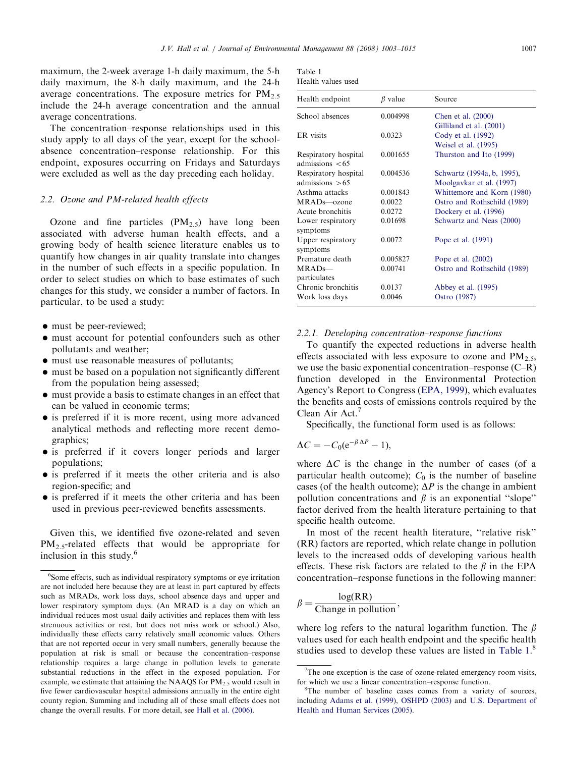<span id="page-4-0"></span>maximum, the 2-week average 1-h daily maximum, the 5-h daily maximum, the 8-h daily maximum, and the 24-h average concentrations. The exposure metrics for  $PM<sub>2.5</sub>$ include the 24-h average concentration and the annual average concentrations.

The concentration–response relationships used in this study apply to all days of the year, except for the schoolabsence concentration–response relationship. For this endpoint, exposures occurring on Fridays and Saturdays were excluded as well as the day preceding each holiday.

# 2.2. Ozone and PM-related health effects

Ozone and fine particles  $(PM_2, 5)$  have long been associated with adverse human health effects, and a growing body of health science literature enables us to quantify how changes in air quality translate into changes in the number of such effects in a specific population. In order to select studies on which to base estimates of such changes for this study, we consider a number of factors. In particular, to be used a study:

- must be peer-reviewed;
- must account for potential confounders such as other pollutants and weather;
- must use reasonable measures of pollutants;
- must be based on a population not significantly different from the population being assessed;
- must provide a basis to estimate changes in an effect that can be valued in economic terms;
- is preferred if it is more recent, using more advanced analytical methods and reflecting more recent demographics;
- is preferred if it covers longer periods and larger populations;
- is preferred if it meets the other criteria and is also region-specific; and
- is preferred if it meets the other criteria and has been used in previous peer-reviewed benefits assessments.

Given this, we identified five ozone-related and seven  $PM<sub>2</sub>$ -related effects that would be appropriate for inclusion in this study.<sup>6</sup>

| Table T            |  |
|--------------------|--|
| Health values used |  |

 $\overline{a}$  1.  $\overline{a}$ 

| Health endpoint                           | $\beta$ value | Source                                                 |
|-------------------------------------------|---------------|--------------------------------------------------------|
| School absences                           | 0.004998      | Chen et al. (2000)<br>Gilliland et al. (2001)          |
| ER visits                                 | 0.0323        | Cody et al. (1992)<br>Weisel et al. (1995)             |
| Respiratory hospital<br>admissions $< 65$ | 0.001655      | Thurston and Ito (1999)                                |
| Respiratory hospital<br>admissions $>65$  | 0.004536      | Schwartz (1994a, b, 1995),<br>Moolgavkar et al. (1997) |
| Asthma attacks                            | 0.001843      | Whittemore and Korn (1980)                             |
| $MRADs$ - $ozone$                         | 0.0022        | Ostro and Rothschild (1989)                            |
| Acute bronchitis                          | 0.0272        | Dockery et al. (1996)                                  |
| Lower respiratory<br>symptoms             | 0.01698       | Schwartz and Neas (2000)                               |
| Upper respiratory<br>symptoms             | 0.0072        | Pope et al. (1991)                                     |
| Premature death                           | 0.005827      | Pope et al. $(2002)$                                   |
| $MRADs$ —<br>particulates                 | 0.00741       | Ostro and Rothschild (1989)                            |
| Chronic bronchitis                        | 0.0137        | Abbey et al. $(1995)$                                  |
| Work loss days                            | 0.0046        | Ostro (1987)                                           |

2.2.1. Developing concentration–response functions

To quantify the expected reductions in adverse health effects associated with less exposure to ozone and  $PM_{2.5}$ , we use the basic exponential concentration–response (C–R) function developed in the Environmental Protection Agency's Report to Congress ([EPA, 1999](#page-11-0)), which evaluates the benefits and costs of emissions controls required by the Clean Air Act.<sup>7</sup>

Specifically, the functional form used is as follows:

$$
\Delta C = -C_0 (e^{-\beta \Delta P} - 1),
$$

where  $\Delta C$  is the change in the number of cases (of a particular health outcome);  $C_0$  is the number of baseline cases (of the health outcome);  $\Delta P$  is the change in ambient pollution concentrations and  $\beta$  is an exponential "slope" factor derived from the health literature pertaining to that specific health outcome.

In most of the recent health literature, "relative risk" (RR) factors are reported, which relate change in pollution levels to the increased odds of developing various health effects. These risk factors are related to the  $\beta$  in the EPA concentration–response functions in the following manner:

$$
\beta = \frac{\log(RR)}{\text{Change in pollution}},
$$

where log refers to the natural logarithm function. The  $\beta$ values used for each health endpoint and the specific health studies used to develop these values are listed in Table 1.<sup>8</sup>

<sup>&</sup>lt;sup>6</sup>Some effects, such as individual respiratory symptoms or eye irritation are not included here because they are at least in part captured by effects such as MRADs, work loss days, school absence days and upper and lower respiratory symptom days. (An MRAD is a day on which an individual reduces most usual daily activities and replaces them with less strenuous activities or rest, but does not miss work or school.) Also, individually these effects carry relatively small economic values. Others that are not reported occur in very small numbers, generally because the population at risk is small or because the concentration–response relationship requires a large change in pollution levels to generate substantial reductions in the effect in the exposed population. For example, we estimate that attaining the NAAQS for  $PM_{2.5}$  would result in five fewer cardiovascular hospital admissions annually in the entire eight county region. Summing and including all of those small effects does not change the overall results. For more detail, see [Hall et al. \(2006\).](#page-11-0)

 $7$ The one exception is the case of ozone-related emergency room visits, for which we use a linear concentration–response function.

<sup>&</sup>lt;sup>8</sup>The number of baseline cases comes from a variety of sources, including [Adams et al. \(1999\)](#page-10-0), [OSHPD \(2003\)](#page-11-0) and [U.S. Department of](#page-12-0) [Health and Human Services \(2005\)](#page-12-0).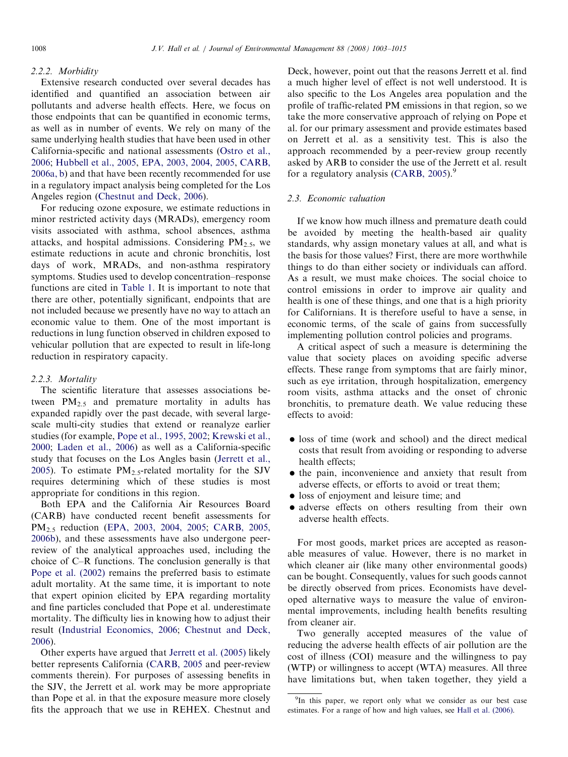# 2.2.2. Morbidity

Extensive research conducted over several decades has identified and quantified an association between air pollutants and adverse health effects. Here, we focus on those endpoints that can be quantified in economic terms, as well as in number of events. We rely on many of the same underlying health studies that have been used in other California-specific and national assessments ([Ostro et al.,](#page-11-0) [2006;](#page-11-0) [Hubbell et al., 2005,](#page-11-0) [EPA, 2003, 2004, 2005](#page-11-0), [CARB,](#page-10-0) [2006a, b\)](#page-10-0) and that have been recently recommended for use in a regulatory impact analysis being completed for the Los Angeles region [\(Chestnut and Deck, 2006\)](#page-10-0).

For reducing ozone exposure, we estimate reductions in minor restricted activity days (MRADs), emergency room visits associated with asthma, school absences, asthma attacks, and hospital admissions. Considering  $PM<sub>2.5</sub>$ , we estimate reductions in acute and chronic bronchitis, lost days of work, MRADs, and non-asthma respiratory symptoms. Studies used to develop concentration–response functions are cited in [Table 1.](#page-4-0) It is important to note that there are other, potentially significant, endpoints that are not included because we presently have no way to attach an economic value to them. One of the most important is reductions in lung function observed in children exposed to vehicular pollution that are expected to result in life-long reduction in respiratory capacity.

# 2.2.3. Mortality

The scientific literature that assesses associations between  $PM_{2.5}$  and premature mortality in adults has expanded rapidly over the past decade, with several largescale multi-city studies that extend or reanalyze earlier studies (for example, [Pope et al., 1995, 2002](#page-11-0); [Krewski et al.,](#page-11-0) [2000;](#page-11-0) [Laden et al., 2006](#page-11-0)) as well as a California-specific study that focuses on the Los Angles basin [\(Jerrett et al.,](#page-11-0) [2005\)](#page-11-0). To estimate  $PM_{2.5}$ -related mortality for the SJV requires determining which of these studies is most appropriate for conditions in this region.

Both EPA and the California Air Resources Board (CARB) have conducted recent benefit assessments for PM2.5 reduction [\(EPA, 2003, 2004, 2005](#page-11-0); [CARB, 2005,](#page-10-0) [2006b](#page-10-0)), and these assessments have also undergone peerreview of the analytical approaches used, including the choice of C–R functions. The conclusion generally is that [Pope et al. \(2002\)](#page-11-0) remains the preferred basis to estimate adult mortality. At the same time, it is important to note that expert opinion elicited by EPA regarding mortality and fine particles concluded that Pope et al. underestimate mortality. The difficulty lies in knowing how to adjust their result ([Industrial Economics, 2006](#page-11-0); [Chestnut and Deck,](#page-10-0) [2006\)](#page-10-0).

Other experts have argued that [Jerrett et al. \(2005\)](#page-11-0) likely better represents California [\(CARB, 2005](#page-10-0) and peer-review comments therein). For purposes of assessing benefits in the SJV, the Jerrett et al. work may be more appropriate than Pope et al. in that the exposure measure more closely fits the approach that we use in REHEX. Chestnut and

Deck, however, point out that the reasons Jerrett et al. find a much higher level of effect is not well understood. It is also specific to the Los Angeles area population and the profile of traffic-related PM emissions in that region, so we take the more conservative approach of relying on Pope et al. for our primary assessment and provide estimates based on Jerrett et al. as a sensitivity test. This is also the approach recommended by a peer-review group recently asked by ARB to consider the use of the Jerrett et al. result for a regulatory analysis (CARB,  $2005$ ).<sup>9</sup>

# 2.3. Economic valuation

If we know how much illness and premature death could be avoided by meeting the health-based air quality standards, why assign monetary values at all, and what is the basis for those values? First, there are more worthwhile things to do than either society or individuals can afford. As a result, we must make choices. The social choice to control emissions in order to improve air quality and health is one of these things, and one that is a high priority for Californians. It is therefore useful to have a sense, in economic terms, of the scale of gains from successfully implementing pollution control policies and programs.

A critical aspect of such a measure is determining the value that society places on avoiding specific adverse effects. These range from symptoms that are fairly minor, such as eye irritation, through hospitalization, emergency room visits, asthma attacks and the onset of chronic bronchitis, to premature death. We value reducing these effects to avoid:

- loss of time (work and school) and the direct medical costs that result from avoiding or responding to adverse health effects;
- the pain, inconvenience and anxiety that result from adverse effects, or efforts to avoid or treat them;
- loss of enjoyment and leisure time; and
- adverse effects on others resulting from their own adverse health effects.

For most goods, market prices are accepted as reasonable measures of value. However, there is no market in which cleaner air (like many other environmental goods) can be bought. Consequently, values for such goods cannot be directly observed from prices. Economists have developed alternative ways to measure the value of environmental improvements, including health benefits resulting from cleaner air.

Two generally accepted measures of the value of reducing the adverse health effects of air pollution are the cost of illness (COI) measure and the willingness to pay (WTP) or willingness to accept (WTA) measures. All three have limitations but, when taken together, they yield a

<sup>&</sup>lt;sup>9</sup>In this paper, we report only what we consider as our best case estimates. For a range of how and high values, see [Hall et al. \(2006\).](#page-11-0)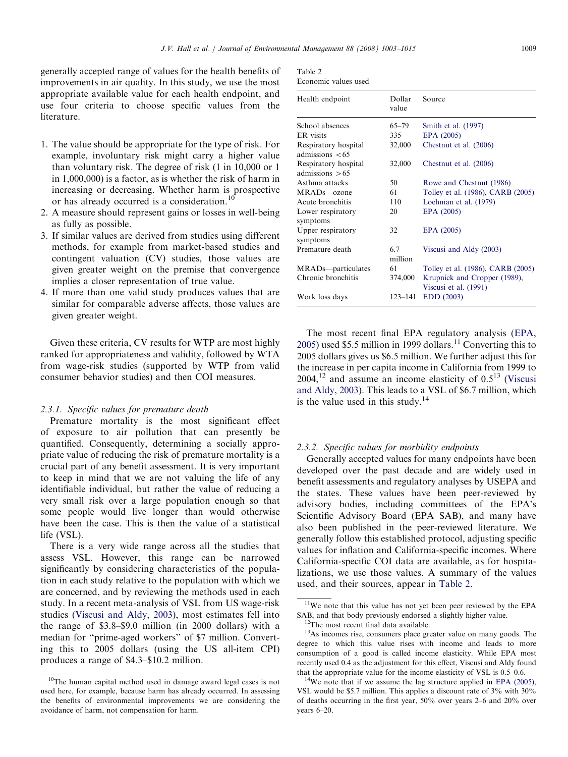generally accepted range of values for the health benefits of improvements in air quality. In this study, we use the most appropriate available value for each health endpoint, and use four criteria to choose specific values from the literature.

- 1. The value should be appropriate for the type of risk. For example, involuntary risk might carry a higher value than voluntary risk. The degree of risk (1 in 10,000 or 1 in 1,000,000) is a factor, as is whether the risk of harm in increasing or decreasing. Whether harm is prospective or has already occurred is a consideration.<sup>10</sup>
- 2. A measure should represent gains or losses in well-being as fully as possible.
- 3. If similar values are derived from studies using different methods, for example from market-based studies and contingent valuation (CV) studies, those values are given greater weight on the premise that convergence implies a closer representation of true value.
- 4. If more than one valid study produces values that are similar for comparable adverse affects, those values are given greater weight.

Given these criteria, CV results for WTP are most highly ranked for appropriateness and validity, followed by WTA from wage-risk studies (supported by WTP from valid consumer behavior studies) and then COI measures.

## 2.3.1. Specific values for premature death

Premature mortality is the most significant effect of exposure to air pollution that can presently be quantified. Consequently, determining a socially appropriate value of reducing the risk of premature mortality is a crucial part of any benefit assessment. It is very important to keep in mind that we are not valuing the life of any identifiable individual, but rather the value of reducing a very small risk over a large population enough so that some people would live longer than would otherwise have been the case. This is then the value of a statistical life (VSL).

There is a very wide range across all the studies that assess VSL. However, this range can be narrowed significantly by considering characteristics of the population in each study relative to the population with which we are concerned, and by reviewing the methods used in each study. In a recent meta-analysis of VSL from US wage-risk studies [\(Viscusi and Aldy, 2003](#page-12-0)), most estimates fell into the range of \$3.8–\$9.0 million (in 2000 dollars) with a median for ''prime-aged workers'' of \$7 million. Converting this to 2005 dollars (using the US all-item CPI) produces a range of \$4.3–\$10.2 million.

| Table 2              |  |
|----------------------|--|
| Economic values used |  |

| Health endpoint                          | Dollar<br>value | Source                                                |
|------------------------------------------|-----------------|-------------------------------------------------------|
| School absences                          | $65 - 79$       | Smith et al. (1997)                                   |
| ER visits                                | 335             | EPA (2005)                                            |
| Respiratory hospital<br>admissions $<65$ | 32,000          | Chestnut et al. (2006)                                |
| Respiratory hospital<br>admissions $>65$ | 32,000          | Chestnut et al. (2006)                                |
| Asthma attacks                           | 50              | Rowe and Chestnut (1986)                              |
| $MRADs$ - ozone                          | 61              | Tolley et al. (1986), CARB (2005)                     |
| Acute bronchitis                         | 110             | Loehman et al. (1979)                                 |
| Lower respiratory<br>symptoms            | 20              | EPA (2005)                                            |
| Upper respiratory<br>symptoms            | 32              | EPA (2005)                                            |
| Premature death                          | 6.7<br>million  | Viscusi and Aldy (2003)                               |
| MRADs-particulates                       | 61              | Tolley et al. (1986), CARB (2005)                     |
| Chronic bronchitis                       | 374,000         | Krupnick and Cropper (1989),<br>Viscusi et al. (1991) |
| Work loss days                           | 123–141         | EDD(2003)                                             |

The most recent final EPA regulatory analysis [\(EPA,](#page-11-0) [2005](#page-11-0)) used \$5.5 million in 1999 dollars.<sup>11</sup> Converting this to 2005 dollars gives us \$6.5 million. We further adjust this for the increase in per capita income in California from 1999 to  $2004$ ,<sup>12</sup> and assume an income elasticity of  $0.5<sup>13</sup>$  [\(Viscusi](#page-12-0) [and Aldy, 2003](#page-12-0)). This leads to a VSL of \$6.7 million, which is the value used in this study. $^{14}$ 

# 2.3.2. Specific values for morbidity endpoints

Generally accepted values for many endpoints have been developed over the past decade and are widely used in benefit assessments and regulatory analyses by USEPA and the states. These values have been peer-reviewed by advisory bodies, including committees of the EPA's Scientific Advisory Board (EPA SAB), and many have also been published in the peer-reviewed literature. We generally follow this established protocol, adjusting specific values for inflation and California-specific incomes. Where California-specific COI data are available, as for hospitalizations, we use those values. A summary of the values used, and their sources, appear in Table 2.

<sup>&</sup>lt;sup>10</sup>The human capital method used in damage award legal cases is not used here, for example, because harm has already occurred. In assessing the benefits of environmental improvements we are considering the avoidance of harm, not compensation for harm.

<sup>&</sup>lt;sup>11</sup>We note that this value has not yet been peer reviewed by the EPA SAB, and that body previously endorsed a slightly higher value. 12The most recent final data available.

<sup>&</sup>lt;sup>13</sup>As incomes rise, consumers place greater value on many goods. The degree to which this value rises with income and leads to more consumption of a good is called income elasticity. While EPA most recently used 0.4 as the adjustment for this effect, Viscusi and Aldy found that the appropriate value for the income elasticity of VSL is 0.5–0.6.  $14$ We note that if we assume the lag structure applied in [EPA \(2005\)](#page-11-0),

VSL would be \$5.7 million. This applies a discount rate of 3% with 30% of deaths occurring in the first year, 50% over years 2–6 and 20% over years 6–20.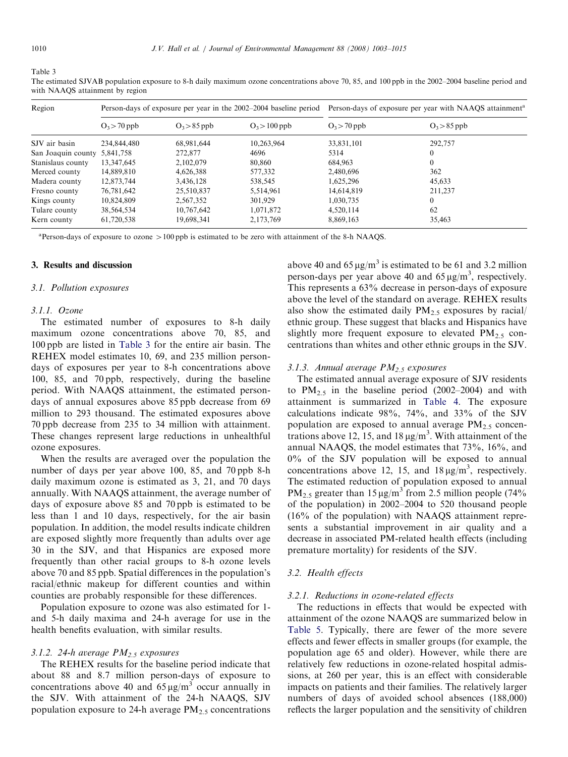Table 3

| The estimated SJVAB population exposure to 8-h daily maximum ozone concentrations above 70, 85, and 100 ppb in the 2002–2004 baseline period and |
|--------------------------------------------------------------------------------------------------------------------------------------------------|
| with NAAOS attainment by region                                                                                                                  |
|                                                                                                                                                  |

| Region             |                |                | Person-days of exposure per year in the 2002-2004 baseline period | Person-days of exposure per year with NAAQS attainment <sup>a</sup> |                |  |  |
|--------------------|----------------|----------------|-------------------------------------------------------------------|---------------------------------------------------------------------|----------------|--|--|
|                    | $O_3$ > 70 ppb | $O_3$ > 85 ppb | $O_3 > 100$ ppb                                                   | $Q_3 > 70$ ppb                                                      | $O_3 > 85$ ppb |  |  |
| SJV air basin      | 234,844,480    | 68.981.644     | 10,263,964                                                        | 33,831,101                                                          | 292,757        |  |  |
| San Joaquin county | 5.841.758      | 272,877        | 4696                                                              | 5314                                                                | $\Omega$       |  |  |
| Stanislaus county  | 13,347,645     | 2.102.079      | 80,860                                                            | 684.963                                                             | $\Omega$       |  |  |
| Merced county      | 14,889,810     | 4,626,388      | 577,332                                                           | 2,480,696                                                           | 362            |  |  |
| Madera county      | 12.873.744     | 3.436.128      | 538.545                                                           | 1.625.296                                                           | 45.633         |  |  |
| Fresno county      | 76.781.642     | 25,510,837     | 5,514,961                                                         | 14,614,819                                                          | 211.237        |  |  |
| Kings county       | 10,824,809     | 2.567.352      | 301,929                                                           | 1.030.735                                                           | $\Omega$       |  |  |
| Tulare county      | 38.564.534     | 10,767,642     | 1.071.872                                                         | 4.520.114                                                           | 62             |  |  |
| Kern county        | 61,720,538     | 19,698,341     | 2,173,769                                                         | 8,869,163                                                           | 35,463         |  |  |

<sup>a</sup> Person-days of exposure to ozone  $>100$  ppb is estimated to be zero with attainment of the 8-h NAAQS.

# 3. Results and discussion

#### 3.1. Pollution exposures

#### 3.1.1. Ozone

The estimated number of exposures to 8-h daily maximum ozone concentrations above 70, 85, and 100 ppb are listed in Table 3 for the entire air basin. The REHEX model estimates 10, 69, and 235 million persondays of exposures per year to 8-h concentrations above 100, 85, and 70 ppb, respectively, during the baseline period. With NAAQS attainment, the estimated persondays of annual exposures above 85 ppb decrease from 69 million to 293 thousand. The estimated exposures above 70 ppb decrease from 235 to 34 million with attainment. These changes represent large reductions in unhealthful ozone exposures.

When the results are averaged over the population the number of days per year above 100, 85, and 70 ppb 8-h daily maximum ozone is estimated as 3, 21, and 70 days annually. With NAAQS attainment, the average number of days of exposure above 85 and 70 ppb is estimated to be less than 1 and 10 days, respectively, for the air basin population. In addition, the model results indicate children are exposed slightly more frequently than adults over age 30 in the SJV, and that Hispanics are exposed more frequently than other racial groups to 8-h ozone levels above 70 and 85 ppb. Spatial differences in the population's racial/ethnic makeup for different counties and within counties are probably responsible for these differences.

Population exposure to ozone was also estimated for 1 and 5-h daily maxima and 24-h average for use in the health benefits evaluation, with similar results.

# 3.1.2. 24-h average  $PM_{2.5}$  exposures

The REHEX results for the baseline period indicate that about 88 and 8.7 million person-days of exposure to concentrations above 40 and  $65 \mu g/m^3$  occur annually in the SJV. With attainment of the 24-h NAAQS, SJV population exposure to 24-h average  $PM_{2.5}$  concentrations above 40 and 65  $\mu$ g/m<sup>3</sup> is estimated to be 61 and 3.2 million person-days per year above 40 and  $65 \mu g/m^3$ , respectively. This represents a 63% decrease in person-days of exposure above the level of the standard on average. REHEX results also show the estimated daily  $PM_{2.5}$  exposures by racial/ ethnic group. These suggest that blacks and Hispanics have slightly more frequent exposure to elevated  $PM_{2.5}$  concentrations than whites and other ethnic groups in the SJV.

#### 3.1.3. Annual average  $PM_{2.5}$  exposures

The estimated annual average exposure of SJV residents to  $PM_{2.5}$  in the baseline period (2002–2004) and with attainment is summarized in [Table 4.](#page-8-0) The exposure calculations indicate 98%, 74%, and 33% of the SJV population are exposed to annual average  $PM_{2.5}$  concentrations above 12, 15, and 18  $\mu$ g/m<sup>3</sup>. With attainment of the annual NAAQS, the model estimates that 73%, 16%, and 0% of the SJV population will be exposed to annual concentrations above 12, 15, and  $18 \mu g/m^3$ , respectively. The estimated reduction of population exposed to annual PM<sub>2.5</sub> greater than 15  $\mu$ g/m<sup>3</sup> from 2.5 million people (74% of the population) in 2002–2004 to 520 thousand people (16% of the population) with NAAQS attainment represents a substantial improvement in air quality and a decrease in associated PM-related health effects (including premature mortality) for residents of the SJV.

# 3.2. Health effects

# 3.2.1. Reductions in ozone-related effects

The reductions in effects that would be expected with attainment of the ozone NAAQS are summarized below in [Table 5](#page-8-0). Typically, there are fewer of the more severe effects and fewer effects in smaller groups (for example, the population age 65 and older). However, while there are relatively few reductions in ozone-related hospital admissions, at 260 per year, this is an effect with considerable impacts on patients and their families. The relatively larger numbers of days of avoided school absences (188,000) reflects the larger population and the sensitivity of children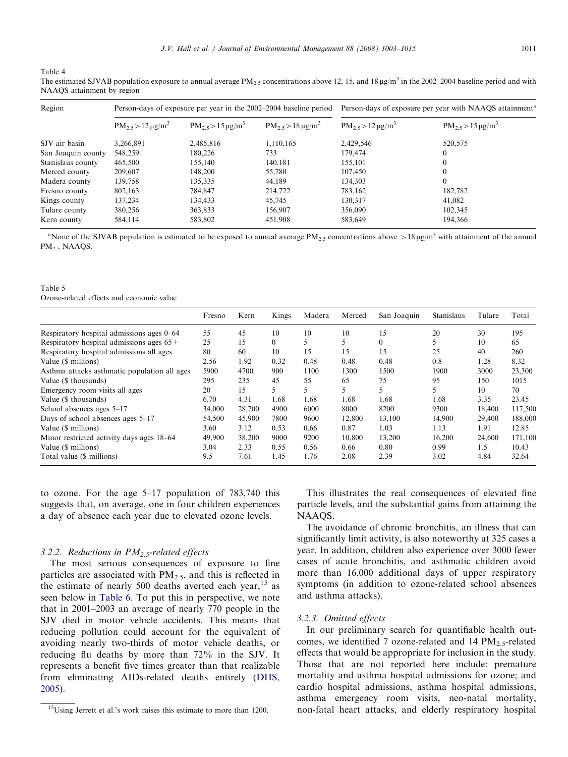<span id="page-8-0"></span>Table 4 The estimated SJVAB population exposure to annual average  $PM_{2.5}$  concentrations above 12, 15, and 18  $\mu\text{g/m}^3$  in the 2002–2004 baseline period and with NAAQS attainment by region

| Region             |                         |                         | Person-days of exposure per year in the 2002-2004 baseline period | Person-days of exposure per year with NAAQS attainment <sup>a</sup> |                         |  |  |
|--------------------|-------------------------|-------------------------|-------------------------------------------------------------------|---------------------------------------------------------------------|-------------------------|--|--|
|                    | $PM_2 \le 12 \mu g/m^3$ | $PM_2 \le 15 \mu g/m^3$ | $PM_2 \le 18 \mu g/m^3$                                           | $PM_2 \le 12 \mu g/m^3$                                             | $PM_2 \le 15 \mu g/m^3$ |  |  |
| SJV air basin      | 3.266.891               | 2,485,816               | 1.110.165                                                         | 2,429,546                                                           | 520,575                 |  |  |
| San Joaquin county | 548,259                 | 180,226                 | 733                                                               | 179.474                                                             |                         |  |  |
| Stanislaus county  | 465,500                 | 155,140                 | 140.181                                                           | 155.101                                                             |                         |  |  |
| Merced county      | 209,607                 | 148,200                 | 55,780                                                            | 107,450                                                             |                         |  |  |
| Madera county      | 139.758                 | 135,335                 | 44.189                                                            | 134.303                                                             |                         |  |  |
| Fresno county      | 802,163                 | 784,847                 | 214,722                                                           | 783,162                                                             | 182.782                 |  |  |
| Kings county       | 137,234                 | 134.433                 | 45.745                                                            | 130,317                                                             | 41.082                  |  |  |
| Tulare county      | 380,256                 | 363.833                 | 156.907                                                           | 356,090                                                             | 102.345                 |  |  |
| Kern county        | 584,114                 | 583,802                 | 451,908                                                           | 583,649                                                             | 194,366                 |  |  |

<sup>a</sup>None of the SJVAB population is estimated to be exposed to annual average  $PM_{2.5}$  concentrations above  $> 18 \mu g/m^3$  with attainment of the annual PM2.5 NAAQS.

Table 5 Ozone-related effects and economic value

|                                              | Fresno | Kern   | Kings    | Madera | Merced | San Joaquin | Stanislaus | Tulare | Total   |
|----------------------------------------------|--------|--------|----------|--------|--------|-------------|------------|--------|---------|
| Respiratory hospital admissions ages 0–64    | 55     | 45     | 10       | 10     | 10     | 15          | 20         | 30     | 195     |
| Respiratory hospital admissions ages $65+$   | 25     | 15     | $\theta$ |        |        | $\theta$    |            | 10     | 65      |
| Respiratory hospital admissions all ages     | 80     | 60     | 10       | 15     | 15     | 15          | 25         | 40     | 260     |
| Value (\$ millions)                          | 2.56   | 1.92   | 0.32     | 0.48   | 0.48   | 0.48        | 0.8        | 1.28   | 8.32    |
| Asthma attacks asthmatic population all ages | 5900   | 4700   | 900      | 1100   | 1300   | 1500        | 1900       | 3000   | 23,300  |
| Value (\$ thousands)                         | 295    | 235    | 45       | 55     | 65     | 75          | 95         | 150    | 1015    |
| Emergency room visits all ages               | 20     | 15     |          | 5      | 5      | 5           | 5          | 10     | 70      |
| Value (\$ thousands)                         | 6.70   | 4.31   | 1.68     | 1.68   | 1.68   | 1.68        | 1.68       | 3.35   | 23.45   |
| School absences ages 5–17                    | 34,000 | 28,700 | 4900     | 6000   | 8000   | 8200        | 9300       | 18,400 | 117,500 |
| Days of school absences ages $5-17$          | 54,500 | 45,900 | 7800     | 9600   | 12.800 | 13,100      | 14,900     | 29,400 | 188,000 |
| Value (\$ millions)                          | 3.60   | 3.12   | 0.53     | 0.66   | 0.87   | 1.03        | 1.13       | 1.91   | 12.85   |
| Minor restricted activity days ages 18–64    | 49.900 | 38,200 | 9000     | 9200   | 10,800 | 13,200      | 16,200     | 24,600 | 171,100 |
| Value (\$ millions)                          | 3.04   | 2.33   | 0.55     | 0.56   | 0.66   | 0.80        | 0.99       | 1.5    | 10.43   |
| Total value (\$ millions)                    | 9.5    | 7.61   | 1.45     | 1.76   | 2.08   | 2.39        | 3.02       | 4.84   | 32.64   |

to ozone. For the age 5–17 population of 783,740 this suggests that, on average, one in four children experiences a day of absence each year due to elevated ozone levels.

# 3.2.2. Reductions in  $PM_{2.5}$ -related effects

The most serious consequences of exposure to fine particles are associated with  $PM_{2.5}$ , and this is reflected in the estimate of nearly 500 deaths averted each year,  $15$  as seen below in [Table 6.](#page-9-0) To put this in perspective, we note that in 2001–2003 an average of nearly 770 people in the SJV died in motor vehicle accidents. This means that reducing pollution could account for the equivalent of avoiding nearly two-thirds of motor vehicle deaths, or reducing flu deaths by more than 72% in the SJV. It represents a benefit five times greater than that realizable from eliminating AIDs-related deaths entirely ([DHS,](#page-11-0) [2005](#page-11-0)).

This illustrates the real consequences of elevated fine particle levels, and the substantial gains from attaining the NAAQS.

The avoidance of chronic bronchitis, an illness that can significantly limit activity, is also noteworthy at 325 cases a year. In addition, children also experience over 3000 fewer cases of acute bronchitis, and asthmatic children avoid more than 16,000 additional days of upper respiratory symptoms (in addition to ozone-related school absences and asthma attacks).

#### 3.2.3. Omitted effects

In our preliminary search for quantifiable health outcomes, we identified 7 ozone-related and 14  $PM_{2.5}$ -related effects that would be appropriate for inclusion in the study. Those that are not reported here include: premature mortality and asthma hospital admissions for ozone; and cardio hospital admissions, asthma hospital admissions, asthma emergency room visits, neo-natal mortality, non-fatal heart attacks, and elderly respiratory hospital

<sup>&</sup>lt;sup>15</sup>Using Jerrett et al.'s work raises this estimate to more than 1200.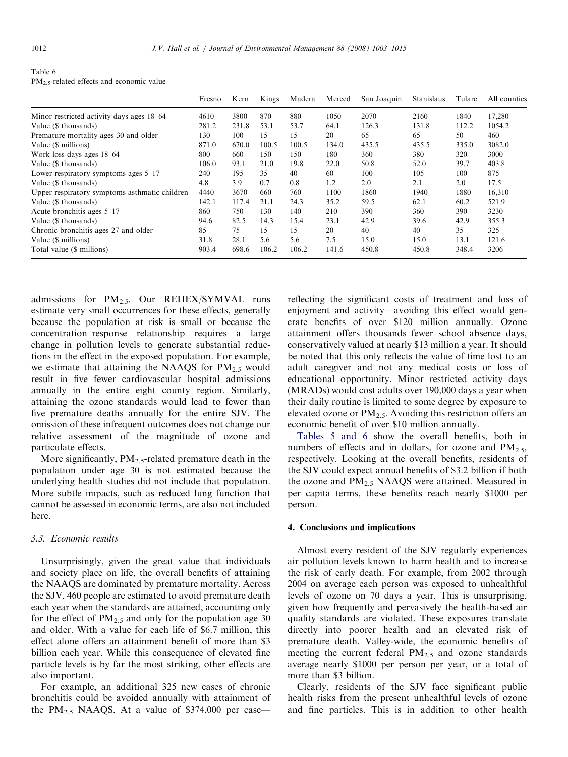<span id="page-9-0"></span>Table 6 PM<sub>2.5</sub>-related effects and economic value

|                                               | Fresno | Kern  | Kings | Madera | Merced | San Joaquin | <b>Stanislaus</b> | Tulare | All counties |
|-----------------------------------------------|--------|-------|-------|--------|--------|-------------|-------------------|--------|--------------|
| Minor restricted activity days ages 18–64     | 4610   | 3800  | 870   | 880    | 1050   | 2070        | 2160              | 1840   | 17,280       |
| Value (\$ thousands)                          | 281.2  | 231.8 | 53.1  | 53.7   | 64.1   | 126.3       | 131.8             | 112.2  | 1054.2       |
| Premature mortality ages 30 and older         | 130    | 100   | 15    | 15     | 20     | 65          | 65                | 50     | 460          |
| Value (\$ millions)                           | 871.0  | 670.0 | 100.5 | 100.5  | 134.0  | 435.5       | 435.5             | 335.0  | 3082.0       |
| Work loss days ages 18–64                     | 800    | 660   | 150   | 150    | 180    | 360         | 380               | 320    | 3000         |
| Value (\$ thousands)                          | 106.0  | 93.1  | 21.0  | 19.8   | 22.0   | 50.8        | 52.0              | 39.7   | 403.8        |
| Lower respiratory symptoms ages $5-17$        | 240    | 195   | 35    | 40     | 60     | 100         | 105               | 100    | 875          |
| Value (\$ thousands)                          | 4.8    | 3.9   | 0.7   | 0.8    | 1.2    | 2.0         | 2.1               | 2.0    | 17.5         |
| Upper respiratory symptoms asthmatic children | 4440   | 3670  | 660   | 760    | 1100   | 1860        | 1940              | 1880   | 16,310       |
| Value (\$ thousands)                          | 142.1  | 117.4 | 21.1  | 24.3   | 35.2   | 59.5        | 62.1              | 60.2   | 521.9        |
| Acute bronchitis ages 5–17                    | 860    | 750   | 130   | 140    | 210    | 390         | 360               | 390    | 3230         |
| Value (\$ thousands)                          | 94.6   | 82.5  | 14.3  | 15.4   | 23.1   | 42.9        | 39.6              | 42.9   | 355.3        |
| Chronic bronchitis ages 27 and older          | 85     | 75    | 15    | 15     | 20     | 40          | 40                | 35     | 325          |
| Value (\$ millions)                           | 31.8   | 28.1  | 5.6   | 5.6    | 7.5    | 15.0        | 15.0              | 13.1   | 121.6        |
| Total value (\$ millions)                     | 903.4  | 698.6 | 106.2 | 106.2  | 141.6  | 450.8       | 450.8             | 348.4  | 3206         |

admissions for  $PM_{2.5}$ . Our REHEX/SYMVAL runs estimate very small occurrences for these effects, generally because the population at risk is small or because the concentration–response relationship requires a large change in pollution levels to generate substantial reductions in the effect in the exposed population. For example, we estimate that attaining the NAAQS for  $PM_{2.5}$  would result in five fewer cardiovascular hospital admissions annually in the entire eight county region. Similarly, attaining the ozone standards would lead to fewer than five premature deaths annually for the entire SJV. The omission of these infrequent outcomes does not change our relative assessment of the magnitude of ozone and particulate effects.

More significantly,  $PM_{2.5}$ -related premature death in the population under age 30 is not estimated because the underlying health studies did not include that population. More subtle impacts, such as reduced lung function that cannot be assessed in economic terms, are also not included here.

# 3.3. Economic results

Unsurprisingly, given the great value that individuals and society place on life, the overall benefits of attaining the NAAQS are dominated by premature mortality. Across the SJV, 460 people are estimated to avoid premature death each year when the standards are attained, accounting only for the effect of  $PM_{2.5}$  and only for the population age 30 and older. With a value for each life of \$6.7 million, this effect alone offers an attainment benefit of more than \$3 billion each year. While this consequence of elevated fine particle levels is by far the most striking, other effects are also important.

For example, an additional 325 new cases of chronic bronchitis could be avoided annually with attainment of the  $PM_{2.5}$  NAAQS. At a value of \$374,000 per casereflecting the significant costs of treatment and loss of enjoyment and activity—avoiding this effect would generate benefits of over \$120 million annually. Ozone attainment offers thousands fewer school absence days, conservatively valued at nearly \$13 million a year. It should be noted that this only reflects the value of time lost to an adult caregiver and not any medical costs or loss of educational opportunity. Minor restricted activity days (MRADs) would cost adults over 190,000 days a year when their daily routine is limited to some degree by exposure to elevated ozone or  $PM_{2.5}$ . Avoiding this restriction offers an economic benefit of over \$10 million annually.

[Tables 5 and 6](#page-8-0) show the overall benefits, both in numbers of effects and in dollars, for ozone and  $PM_{2.5}$ , respectively. Looking at the overall benefits, residents of the SJV could expect annual benefits of \$3.2 billion if both the ozone and  $PM_{2.5}$  NAAQS were attained. Measured in per capita terms, these benefits reach nearly \$1000 per person.

## 4. Conclusions and implications

Almost every resident of the SJV regularly experiences air pollution levels known to harm health and to increase the risk of early death. For example, from 2002 through 2004 on average each person was exposed to unhealthful levels of ozone on 70 days a year. This is unsurprising, given how frequently and pervasively the health-based air quality standards are violated. These exposures translate directly into poorer health and an elevated risk of premature death. Valley-wide, the economic benefits of meeting the current federal  $PM<sub>2.5</sub>$  and ozone standards average nearly \$1000 per person per year, or a total of more than \$3 billion.

Clearly, residents of the SJV face significant public health risks from the present unhealthful levels of ozone and fine particles. This is in addition to other health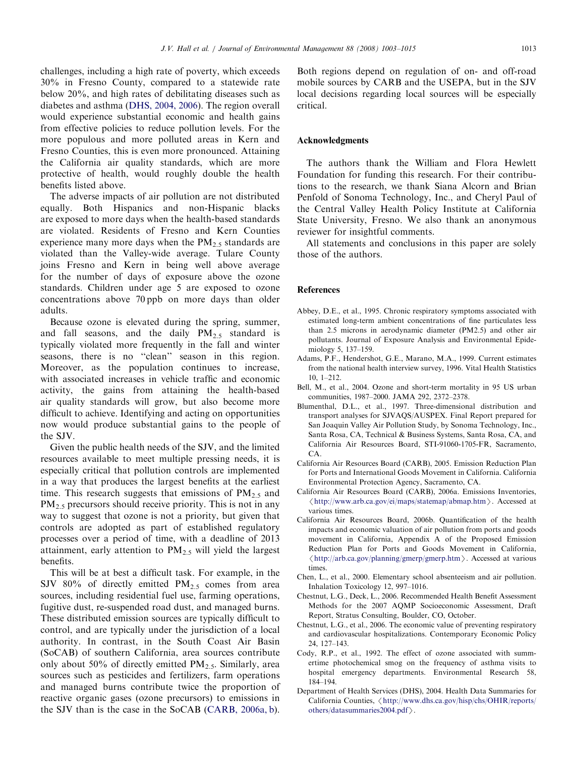<span id="page-10-0"></span>challenges, including a high rate of poverty, which exceeds 30% in Fresno County, compared to a statewide rate below 20%, and high rates of debilitating diseases such as diabetes and asthma (DHS, 2004, 2006). The region overall would experience substantial economic and health gains from effective policies to reduce pollution levels. For the more populous and more polluted areas in Kern and Fresno Counties, this is even more pronounced. Attaining the California air quality standards, which are more protective of health, would roughly double the health benefits listed above.

The adverse impacts of air pollution are not distributed equally. Both Hispanics and non-Hispanic blacks are exposed to more days when the health-based standards are violated. Residents of Fresno and Kern Counties experience many more days when the  $PM<sub>2.5</sub>$  standards are violated than the Valley-wide average. Tulare County joins Fresno and Kern in being well above average for the number of days of exposure above the ozone standards. Children under age 5 are exposed to ozone concentrations above 70 ppb on more days than older adults.

Because ozone is elevated during the spring, summer, and fall seasons, and the daily  $PM_{2.5}$  standard is typically violated more frequently in the fall and winter seasons, there is no ''clean'' season in this region. Moreover, as the population continues to increase, with associated increases in vehicle traffic and economic activity, the gains from attaining the health-based air quality standards will grow, but also become more difficult to achieve. Identifying and acting on opportunities now would produce substantial gains to the people of the SJV.

Given the public health needs of the SJV, and the limited resources available to meet multiple pressing needs, it is especially critical that pollution controls are implemented in a way that produces the largest benefits at the earliest time. This research suggests that emissions of  $PM_{2.5}$  and PM<sub>2.5</sub> precursors should receive priority. This is not in any way to suggest that ozone is not a priority, but given that controls are adopted as part of established regulatory processes over a period of time, with a deadline of 2013 attainment, early attention to  $PM_{2.5}$  will yield the largest benefits.

This will be at best a difficult task. For example, in the SJV 80% of directly emitted  $PM_{2.5}$  comes from area sources, including residential fuel use, farming operations, fugitive dust, re-suspended road dust, and managed burns. These distributed emission sources are typically difficult to control, and are typically under the jurisdiction of a local authority. In contrast, in the South Coast Air Basin (SoCAB) of southern California, area sources contribute only about 50% of directly emitted  $PM_{2.5}$ . Similarly, area sources such as pesticides and fertilizers, farm operations and managed burns contribute twice the proportion of reactive organic gases (ozone precursors) to emissions in the SJV than is the case in the SoCAB (CARB, 2006a, b). Both regions depend on regulation of on- and off-road mobile sources by CARB and the USEPA, but in the SJV local decisions regarding local sources will be especially critical.

# Acknowledgments

The authors thank the William and Flora Hewlett Foundation for funding this research. For their contributions to the research, we thank Siana Alcorn and Brian Penfold of Sonoma Technology, Inc., and Cheryl Paul of the Central Valley Health Policy Institute at California State University, Fresno. We also thank an anonymous reviewer for insightful comments.

All statements and conclusions in this paper are solely those of the authors.

# References

- Abbey, D.E., et al., 1995. Chronic respiratory symptoms associated with estimated long-term ambient concentrations of fine particulates less than 2.5 microns in aerodynamic diameter (PM2.5) and other air pollutants. Journal of Exposure Analysis and Environmental Epidemiology 5, 137–159.
- Adams, P.F., Hendershot, G.E., Marano, M.A., 1999. Current estimates from the national health interview survey, 1996. Vital Health Statistics 10, 1–212.
- Bell, M., et al., 2004. Ozone and short-term mortality in 95 US urban communities, 1987–2000. JAMA 292, 2372–2378.
- Blumenthal, D.L., et al., 1997. Three-dimensional distribution and transport analyses for SJVAQS/AUSPEX. Final Report prepared for San Joaquin Valley Air Pollution Study, by Sonoma Technology, Inc., Santa Rosa, CA, Technical & Business Systems, Santa Rosa, CA, and California Air Resources Board, STI-91060-1705-FR, Sacramento, CA.
- California Air Resources Board (CARB), 2005. Emission Reduction Plan for Ports and International Goods Movement in California. California Environmental Protection Agency, Sacramento, CA.
- California Air Resources Board (CARB), 2006a. Emissions Inventories,  $\langle$ <http://www.arb.ca.gov/ei/maps/statemap/abmap.htm> $\rangle$ . Accessed at various times.
- California Air Resources Board, 2006b. Quantification of the health impacts and economic valuation of air pollution from ports and goods movement in California, Appendix A of the Proposed Emission Reduction Plan for Ports and Goods Movement in California,  $\langle$ <http://arb.ca.gov/planning/gmerp/gmerp.htm> $\rangle$ . Accessed at various times.
- Chen, L., et al., 2000. Elementary school absenteeism and air pollution. Inhalation Toxicology 12, 997–1016.
- Chestnut, L.G., Deck, L., 2006. Recommended Health Benefit Assessment Methods for the 2007 AQMP Socioeconomic Assessment, Draft Report, Stratus Consulting, Boulder, CO, October.
- Chestnut, L.G., et al., 2006. The economic value of preventing respiratory and cardiovascular hospitalizations. Contemporary Economic Policy 24, 127–143.
- Cody, R.P., et al., 1992. The effect of ozone associated with summertime photochemical smog on the frequency of asthma visits to hospital emergency departments. Environmental Research 58, 184–194.
- Department of Health Services (DHS), 2004. Health Data Summaries for California Counties,  $\langle$  [http://www.dhs.ca.gov/hisp/chs/OHIR/reports/](http://www.dhs.ca.gov/hisp/chs/OHIR/reports/others/datasummaries2004.pdf) [others/datasummaries2004.pdf](http://www.dhs.ca.gov/hisp/chs/OHIR/reports/others/datasummaries2004.pdf) $\angle$ .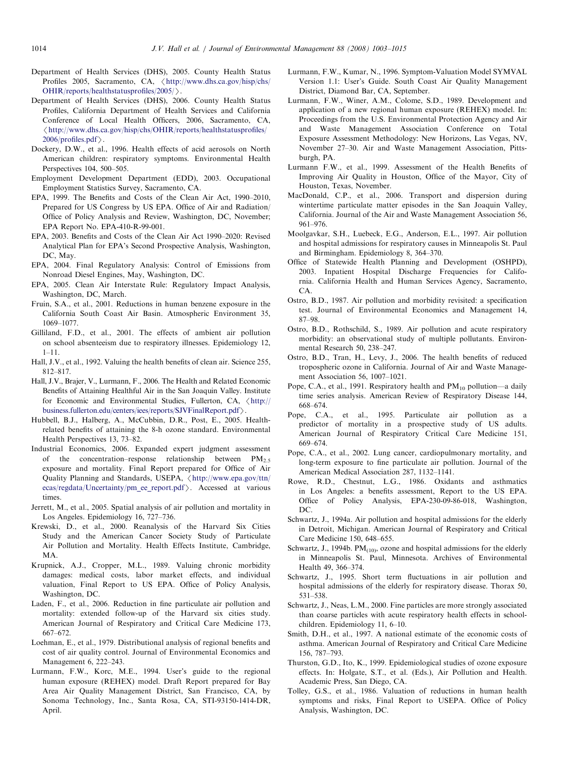- <span id="page-11-0"></span>Department of Health Services (DHS), 2005. County Health Status Profiles 2005, Sacramento, CA,  $\langle$  [http://www.dhs.ca.gov/hisp/chs/](http://www.dhs.ca.gov/hisp/chs/OHIR/reports/healthstatusprofiles/2005/) [OHIR/reports/healthstatusprofiles/2005/](http://www.dhs.ca.gov/hisp/chs/OHIR/reports/healthstatusprofiles/2005/) $\rangle$ .
- Department of Health Services (DHS), 2006. County Health Status Profiles, California Department of Health Services and California Conference of Local Health Officers, 2006, Sacramento, CA, /[http://www.dhs.ca.gov/hisp/chs/OHIR/reports/healthstatusprofiles/](http://www.dhs.ca.gov/hisp/chs/OHIR/reports/healthstatusprofiles/2006/profiles.pdf)  $2006$ /profiles.pdf $\rangle$ .
- Dockery, D.W., et al., 1996. Health effects of acid aerosols on North American children: respiratory symptoms. Environmental Health Perspectives 104, 500–505.
- Employment Development Department (EDD), 2003. Occupational Employment Statistics Survey, Sacramento, CA.
- EPA, 1999. The Benefits and Costs of the Clean Air Act, 1990–2010, Prepared for US Congress by US EPA. Office of Air and Radiation/ Office of Policy Analysis and Review, Washington, DC, November; EPA Report No. EPA-410-R-99-001.
- EPA, 2003. Benefits and Costs of the Clean Air Act 1990–2020: Revised Analytical Plan for EPA's Second Prospective Analysis, Washington, DC, May.
- EPA, 2004. Final Regulatory Analysis: Control of Emissions from Nonroad Diesel Engines, May, Washington, DC.
- EPA, 2005. Clean Air Interstate Rule: Regulatory Impact Analysis, Washington, DC, March.
- Fruin, S.A., et al., 2001. Reductions in human benzene exposure in the California South Coast Air Basin. Atmospheric Environment 35, 1069–1077.
- Gilliland, F.D., et al., 2001. The effects of ambient air pollution on school absenteeism due to respiratory illnesses. Epidemiology 12, 1–11.
- Hall, J.V., et al., 1992. Valuing the health benefits of clean air. Science 255, 812–817.
- Hall, J.V., Brajer, V., Lurmann, F., 2006. The Health and Related Economic Benefits of Attaining Healthful Air in the San Joaquin Valley. Institute for Economic and Environmental Studies, Fullerton, CA, /[http://](http://business.fullerton.edu/centers/iees/reports/SJVFinalReport.pdf) [business.fullerton.edu/centers/iees/reports/SJVFinalReport.pdf](http://business.fullerton.edu/centers/iees/reports/SJVFinalReport.pdf)).
- Hubbell, B.J., Halberg, A., McCubbin, D.R., Post, E., 2005. Healthrelated benefits of attaining the 8-h ozone standard. Environmental Health Perspectives 13, 73–82.
- Industrial Economics, 2006. Expanded expert judgment assessment of the concentration–response relationship between  $PM_2$ . exposure and mortality. Final Report prepared for Office of Air Quality Planning and Standards, USEPA, /[http://www.epa.gov/ttn/](http://www.epa.gov/ttn/ecas/regdata/Uncertainty/pm_ee_report.pdf) [ecas/regdata/Uncertainty/pm\\_ee\\_report.pdf](http://www.epa.gov/ttn/ecas/regdata/Uncertainty/pm_ee_report.pdf) >. Accessed at various times.
- Jerrett, M., et al., 2005. Spatial analysis of air pollution and mortality in Los Angeles. Epidemiology 16, 727–736.
- Krewski, D., et al., 2000. Reanalysis of the Harvard Six Cities Study and the American Cancer Society Study of Particulate Air Pollution and Mortality. Health Effects Institute, Cambridge, MA.
- Krupnick, A.J., Cropper, M.L., 1989. Valuing chronic morbidity damages: medical costs, labor market effects, and individual valuation, Final Report to US EPA. Office of Policy Analysis, Washington, DC.
- Laden, F., et al., 2006. Reduction in fine particulate air pollution and mortality: extended follow-up of the Harvard six cities study. American Journal of Respiratory and Critical Care Medicine 173, 667–672.
- Loehman, E., et al., 1979. Distributional analysis of regional benefits and cost of air quality control. Journal of Environmental Economics and Management 6, 222–243.
- Lurmann, F.W., Korc, M.E., 1994. User's guide to the regional human exposure (REHEX) model. Draft Report prepared for Bay Area Air Quality Management District, San Francisco, CA, by Sonoma Technology, Inc., Santa Rosa, CA, STI-93150-1414-DR, April.
- Lurmann, F.W., Kumar, N., 1996. Symptom-Valuation Model SYMVAL Version 1.1: User's Guide. South Coast Air Quality Management District, Diamond Bar, CA, September.
- Lurmann, F.W., Winer, A.M., Colome, S.D., 1989. Development and application of a new regional human exposure (REHEX) model. In: Proceedings from the U.S. Environmental Protection Agency and Air and Waste Management Association Conference on Total Exposure Assessment Methodology: New Horizons, Las Vegas, NV, November 27–30. Air and Waste Management Association, Pittsburgh, PA.
- Lurmann F.W., et al., 1999. Assessment of the Health Benefits of Improving Air Quality in Houston, Office of the Mayor, City of Houston, Texas, November.
- MacDonald, C.P., et al., 2006. Transport and dispersion during wintertime particulate matter episodes in the San Joaquin Valley, California. Journal of the Air and Waste Management Association 56, 961–976.
- Moolgavkar, S.H., Luebeck, E.G., Anderson, E.L., 1997. Air pollution and hospital admissions for respiratory causes in Minneapolis St. Paul and Birmingham. Epidemiology 8, 364–370.
- Office of Statewide Health Planning and Development (OSHPD), 2003. Inpatient Hospital Discharge Frequencies for California. California Health and Human Services Agency, Sacramento, CA.
- Ostro, B.D., 1987. Air pollution and morbidity revisited: a specification test. Journal of Environmental Economics and Management 14, 87–98.
- Ostro, B.D., Rothschild, S., 1989. Air pollution and acute respiratory morbidity: an observational study of multiple pollutants. Environmental Research 50, 238–247.
- Ostro, B.D., Tran, H., Levy, J., 2006. The health benefits of reduced tropospheric ozone in California. Journal of Air and Waste Management Association 56, 1007–1021.
- Pope, C.A., et al., 1991. Respiratory health and  $PM_{10}$  pollution—a daily time series analysis. American Review of Respiratory Disease 144, 668–674.
- Pope, C.A., et al., 1995. Particulate air pollution as a predictor of mortality in a prospective study of US adults. American Journal of Respiratory Critical Care Medicine 151, 669–674.
- Pope, C.A., et al., 2002. Lung cancer, cardiopulmonary mortality, and long-term exposure to fine particulate air pollution. Journal of the American Medical Association 287, 1132–1141.
- Rowe, R.D., Chestnut, L.G., 1986. Oxidants and asthmatics in Los Angeles: a benefits assessment, Report to the US EPA. Office of Policy Analysis, EPA-230-09-86-018, Washington, DC.
- Schwartz, J., 1994a. Air pollution and hospital admissions for the elderly in Detroit, Michigan. American Journal of Respiratory and Critical Care Medicine 150, 648–655.
- Schwartz, J., 1994b.  $PM_{(10)}$ , ozone and hospital admissions for the elderly in Minneapolis St. Paul, Minnesota. Archives of Environmental Health 49, 366–374.
- Schwartz, J., 1995. Short term fluctuations in air pollution and hospital admissions of the elderly for respiratory disease. Thorax 50, 531–538.
- Schwartz, J., Neas, L.M., 2000. Fine particles are more strongly associated than coarse particles with acute respiratory health effects in schoolchildren. Epidemiology 11, 6–10.
- Smith, D.H., et al., 1997. A national estimate of the economic costs of asthma. American Journal of Respiratory and Critical Care Medicine 156, 787–793.
- Thurston, G.D., Ito, K., 1999. Epidemiological studies of ozone exposure effects. In: Holgate, S.T., et al. (Eds.), Air Pollution and Health. Academic Press, San Diego, CA.
- Tolley, G.S., et al., 1986. Valuation of reductions in human health symptoms and risks, Final Report to USEPA. Office of Policy Analysis, Washington, DC.